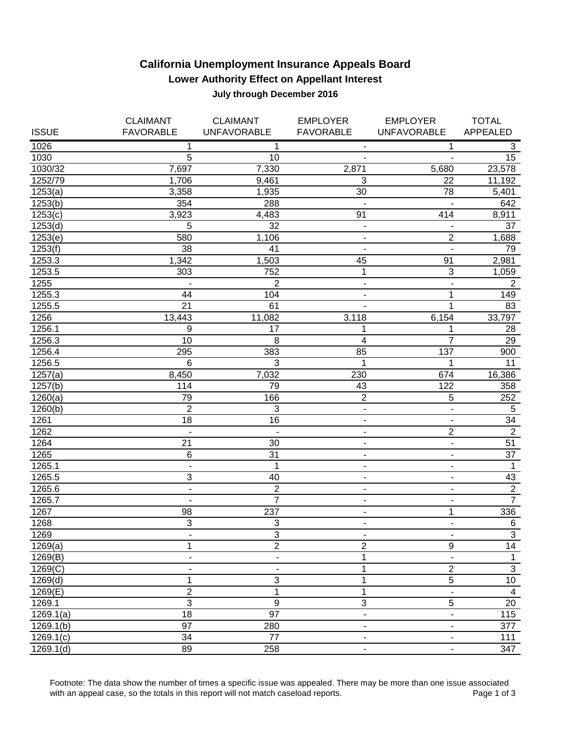## **California Unemployment Insurance Appeals Board Lower Authority Effect on Appellant Interest July through December 2016**

|                  | <b>CLAIMANT</b>     | <b>CLAIMANT</b>          | <b>EMPLOYER</b>                                      | <b>EMPLOYER</b>                                      | <b>TOTAL</b>          |
|------------------|---------------------|--------------------------|------------------------------------------------------|------------------------------------------------------|-----------------------|
| <b>ISSUE</b>     | <b>FAVORABLE</b>    | <b>UNFAVORABLE</b>       | <b>FAVORABLE</b>                                     | <b>UNFAVORABLE</b>                                   | APPEALED              |
| 1026             | 1                   | 1                        | $\overline{\phantom{a}}$                             | 1                                                    | 3                     |
| 1030             | 5                   | 10                       | $\overline{\phantom{a}}$                             | $\overline{\phantom{a}}$                             | 15                    |
| 1030/32          | 7,697               | 7,330                    | 2,871                                                | 5,680                                                | 23,578                |
| 1252/79          | 1,706               | 9,461                    | 3                                                    | 22                                                   | 11,192                |
| 1253(a)          | 3,358               | 1,935                    | 30                                                   | 78                                                   | 5,401                 |
| 1253(b)          | 354                 | 288                      | $\overline{\phantom{a}}$                             |                                                      | 642                   |
| 1253(c)          | 3,923               | 4,483                    | 91                                                   | $41\overline{4}$                                     | 8,911                 |
| 1253(d)          | 5                   | 32                       | $\blacksquare$                                       |                                                      | 37                    |
| 1253(e)          | 580                 | 1,106                    | $\overline{\phantom{a}}$                             | $\overline{2}$                                       | 1,688                 |
| 1253(f)          | 38                  | 41                       | $\blacksquare$                                       | $\overline{\phantom{a}}$                             | 79                    |
| 1253.3           | 1,342               | 1,503                    | 45                                                   | 91                                                   | 2,981                 |
| 1253.5           | 303                 | 752                      | 1                                                    | $\overline{3}$                                       | 1,059                 |
| 1255             |                     | $\overline{2}$           | $\blacksquare$                                       | $\overline{\phantom{0}}$                             | $\overline{2}$        |
| 1255.3           | 44                  | 104                      | $\overline{\phantom{a}}$                             | 1                                                    | 149                   |
| 1255.5           | 21                  | 61                       | $\overline{\phantom{a}}$                             | 1                                                    | 83                    |
| 1256             | 13,443              | 11,082                   | 3,118                                                | 6,154                                                | 33,797                |
| 1256.1           | 9                   | 17                       | 1                                                    | 1                                                    | 28                    |
| 1256.3           | 10                  | 8                        | 4                                                    | $\overline{7}$                                       | 29                    |
| 1256.4           | 295                 | 383                      | 85                                                   | 137                                                  | 900                   |
| 1256.5           | 6                   | 3                        | $\mathbf 1$                                          | 1                                                    | 11                    |
| 1257(a)          | 8,450               | 7,032                    | 230                                                  | 674                                                  | 16,386                |
| 1257(b)          | 114                 | 79                       | 43                                                   | 122                                                  | 358                   |
| 1260(a)          | 79                  | 166                      | $\sqrt{2}$                                           | $\mathbf 5$                                          | 252                   |
| 1260(b)          | $\overline{2}$      | 3                        | $\blacksquare$                                       | $\overline{a}$                                       | $\overline{5}$        |
| 1261             | 18                  | 16                       | $\overline{\phantom{a}}$                             | $\overline{\phantom{a}}$                             | 34<br>$\overline{2}$  |
| 1262             | $\blacksquare$      | $\overline{\phantom{a}}$ | $\overline{\phantom{a}}$                             | $\mathbf 2$                                          |                       |
| 1264             | 21                  | 30<br>31                 | $\overline{\phantom{a}}$                             | $\overline{\phantom{a}}$                             | 51<br>$\overline{37}$ |
| 1265             | 6<br>$\overline{a}$ | 1                        | ÷,                                                   | $\blacksquare$                                       |                       |
| 1265.1<br>1265.5 | 3                   | 40                       | ÷,                                                   | $\overline{\phantom{0}}$<br>$\overline{\phantom{a}}$ | $\mathbf 1$<br>43     |
| 1265.6           | $\blacksquare$      | $\boldsymbol{2}$         | $\overline{\phantom{a}}$<br>$\overline{\phantom{a}}$ | $\overline{\phantom{a}}$                             | $\overline{2}$        |
| 1265.7           | $\blacksquare$      | $\overline{7}$           | $\overline{\phantom{a}}$                             | $\overline{\phantom{a}}$                             | $\overline{7}$        |
| 1267             | 98                  | 237                      | $\overline{\phantom{a}}$                             | 1                                                    | 336                   |
| 1268             | $\overline{3}$      | 3                        | $\blacksquare$                                       | $\overline{\phantom{a}}$                             | 6                     |
| 1269             | ٠                   | 3                        | $\overline{\phantom{a}}$                             | $\overline{\phantom{a}}$                             | 3                     |
| 1269(a)          | 1                   | $\overline{2}$           | $\overline{2}$                                       | $\overline{9}$                                       | 14                    |
| 1269(B)          | ÷                   | $\blacksquare$           | 1                                                    | $\qquad \qquad \blacksquare$                         | $\mathbf{1}$          |
| 1269(C)          |                     |                          | 1                                                    | $\overline{2}$                                       | $\overline{3}$        |
| 1269(d)          | 1                   | 3                        | 1                                                    | $\overline{5}$                                       | $10\,$                |
| 1269(E)          | $\overline{2}$      | 1                        | 1                                                    | $\overline{a}$                                       | $\overline{4}$        |
| 1269.1           | $\overline{3}$      | $\overline{9}$           | $\overline{3}$                                       | 5                                                    | 20                    |
| 1269.1(a)        | $\overline{18}$     | 97                       | $\overline{\phantom{a}}$                             | $\overline{\phantom{a}}$                             | 115                   |
| 1269.1(b)        | $\overline{97}$     | 280                      |                                                      | $\overline{\phantom{a}}$                             | 377                   |
| 1269.1(c)        | 34                  | $\overline{77}$          |                                                      |                                                      | 111                   |
| 1269.1(d)        | 89                  | 258                      |                                                      |                                                      | 347                   |

Footnote: The data show the number of times a specific issue was appealed. There may be more than one issue associated with an appeal case, so the totals in this report will not match caseload reports. with an appeal case, so the totals in this report will not match caseload reports.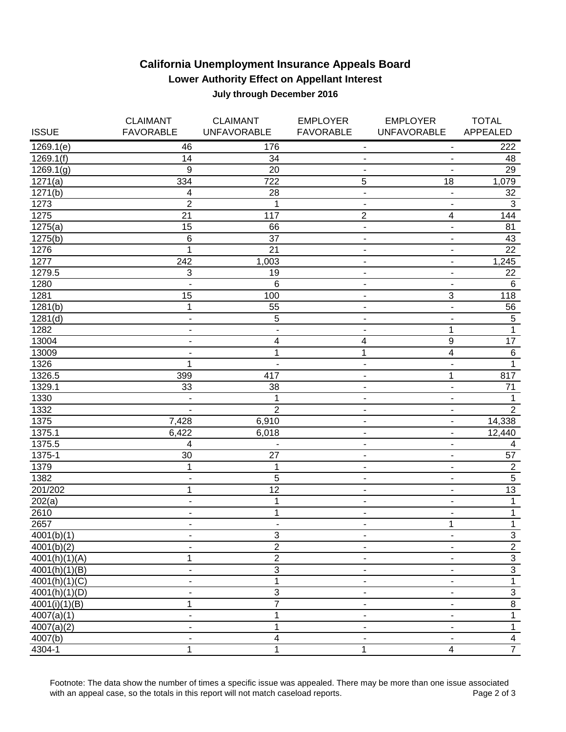## **California Unemployment Insurance Appeals Board Lower Authority Effect on Appellant Interest July through December 2016**

|               | <b>CLAIMANT</b>              | <b>CLAIMANT</b>           | <b>EMPLOYER</b>              | <b>EMPLOYER</b>              | <b>TOTAL</b>            |
|---------------|------------------------------|---------------------------|------------------------------|------------------------------|-------------------------|
| <b>ISSUE</b>  | <b>FAVORABLE</b>             | <b>UNFAVORABLE</b>        | <b>FAVORABLE</b>             | <b>UNFAVORABLE</b>           | APPEALED                |
| 1269.1(e)     | 46                           | 176                       | $\overline{\phantom{a}}$     | $\overline{\phantom{a}}$     | 222                     |
| 1269.1(f)     | 14                           | 34                        | -                            | -                            | 48                      |
| 1269.1(g)     | 9                            | 20                        |                              |                              | 29                      |
| 1271(a)       | 334                          | 722                       | 5                            | 18                           | 1,079                   |
| 1271(b)       | 4                            | 28                        | $\overline{\phantom{a}}$     | $\overline{\phantom{a}}$     | 32                      |
| 1273          | $\overline{2}$               | 1                         | $\overline{\phantom{a}}$     | $\overline{\phantom{a}}$     | $\sqrt{3}$              |
| 1275          | 21                           | 117                       | $\boldsymbol{2}$             | 4                            | 144                     |
| 1275(a)       | 15                           | 66                        | $\blacksquare$               | $\overline{\phantom{a}}$     | 81                      |
| 1275(b)       | $6\phantom{1}6$              | 37                        | $\overline{\phantom{a}}$     | $\overline{\phantom{a}}$     | 43                      |
| 1276          | $\mathbf 1$                  | 21                        | $\overline{\phantom{a}}$     | $\blacksquare$               | 22                      |
| 1277          | 242                          | 1,003                     | $\blacksquare$               | $\overline{\phantom{a}}$     | 1,245                   |
| 1279.5        | $\ensuremath{\mathsf{3}}$    | 19                        | $\overline{\phantom{a}}$     | $\qquad \qquad \blacksquare$ | 22                      |
| 1280          | $\blacksquare$               | 6                         | $\blacksquare$               | $\blacksquare$               | 6                       |
| 1281          | 15                           | 100                       | $\overline{\phantom{a}}$     | $\ensuremath{\mathsf{3}}$    | 118                     |
| 1281(b)       | $\mathbf 1$                  | 55                        | $\overline{\phantom{a}}$     | $\overline{a}$               | 56                      |
| 1281(d)       | $\blacksquare$               | 5                         | -                            | $\overline{\phantom{a}}$     | $\sqrt{5}$              |
| 1282          | $\blacksquare$               | $\blacksquare$            | -                            | 1                            | $\mathbf{1}$            |
| 13004         | $\qquad \qquad \blacksquare$ | 4                         | 4                            | $\boldsymbol{9}$             | $\overline{17}$         |
| 13009         | $\qquad \qquad \blacksquare$ | 1                         | $\mathbf{1}$                 | $\overline{4}$               | $\overline{6}$          |
| 1326          | 1                            | $\blacksquare$            | $\overline{\phantom{a}}$     | $\frac{1}{2}$                | $\mathbf{1}$            |
| 1326.5        | 399                          | 417                       | -                            | 1                            | 817                     |
| 1329.1        | 33                           | 38                        | -                            | $\blacksquare$               | 71                      |
| 1330          | $\blacksquare$               | 1                         |                              | $\blacksquare$               | $\mathbf{1}$            |
| 1332          | $\overline{\phantom{a}}$     | $\overline{2}$            | -                            | $\overline{\phantom{a}}$     | $\overline{2}$          |
| 1375          | 7,428                        | 6,910                     | ۰                            | ÷,                           | 14,338                  |
| 1375.1        | 6,422                        | 6,018                     | $\overline{\phantom{a}}$     | $\overline{\phantom{a}}$     | 12,440                  |
| 1375.5        | 4                            | $\blacksquare$            | $\overline{\phantom{a}}$     | $\overline{\phantom{a}}$     | 4                       |
| 1375-1        | 30                           | 27                        | $\qquad \qquad \blacksquare$ | -                            | 57                      |
| 1379          | $\mathbf 1$                  | 1                         | $\blacksquare$               | $\blacksquare$               | $\overline{2}$          |
| 1382          | $\blacksquare$               | 5                         | $\overline{\phantom{a}}$     | $\overline{\phantom{a}}$     | $\overline{5}$          |
| 201/202       | 1                            | $\overline{12}$           | $\overline{\phantom{a}}$     | $\overline{\phantom{a}}$     | 13                      |
| 202(a)        | $\blacksquare$               | 1                         | -                            | $\overline{\phantom{a}}$     | $\mathbf{1}$            |
| 2610          | $\overline{\phantom{a}}$     | 1                         | -                            | $\overline{\phantom{0}}$     | $\mathbf{1}$            |
| 2657          | $\blacksquare$               | $\blacksquare$            | $\blacksquare$               | $\mathbf{1}$                 | $\overline{1}$          |
| 4001(b)(1)    |                              | $\ensuremath{\mathsf{3}}$ |                              |                              |                         |
| 4001(b)(2)    |                              | $\overline{2}$            |                              | $\overline{\phantom{a}}$     | $\frac{3}{2}$           |
| 4001(h)(1)(A) | 1                            | $\overline{2}$            |                              |                              | $\mathbf{3}$            |
| 4001(h)(1)(B) | $\blacksquare$               | $\overline{3}$            |                              |                              | $\overline{3}$          |
| 4001(h)(1)(C) |                              | 1                         |                              |                              | 1                       |
| 4001(h)(1)(D) |                              | $\overline{3}$            |                              |                              | $\overline{3}$          |
| 4001(i)(1)(B) | 1                            | 7                         |                              |                              | $\overline{8}$          |
| 4007(a)(1)    | $\overline{\phantom{a}}$     | 1                         |                              |                              | $\mathbf{1}$            |
| 4007(a)(2)    | ۰                            | 1                         |                              |                              | $\mathbf{1}$            |
| 4007(b)       |                              | 4                         |                              |                              | $\overline{\mathbf{4}}$ |
| 4304-1        | 1                            | 1                         | 1                            | 4                            | $\overline{7}$          |

Footnote: The data show the number of times a specific issue was appealed. There may be more than one issue associated<br>Page 2 of 3 with an appeal case, so the totals in this report will not match caseload reports.